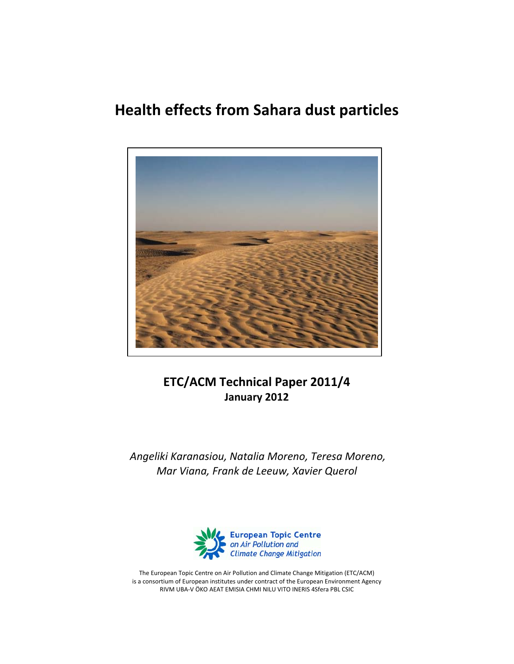# **Health effects from Sahara dust particles**



**ETC/ACM Technical Paper 2011/4 January 2012**

*Angeliki Karanasiou, Natalia Moreno, Teresa Moreno, Mar Viana, Frank de Leeuw, Xavier Querol*



The European Topic Centre on Air Pollution and Climate Change Mitigation (ETC/ACM) is a consortium of European institutes under contract of the European Environment Agency RIVM UBA‐V ÖKO AEAT EMISIA CHMI NILU VITO INERIS 4Sfera PBL CSIC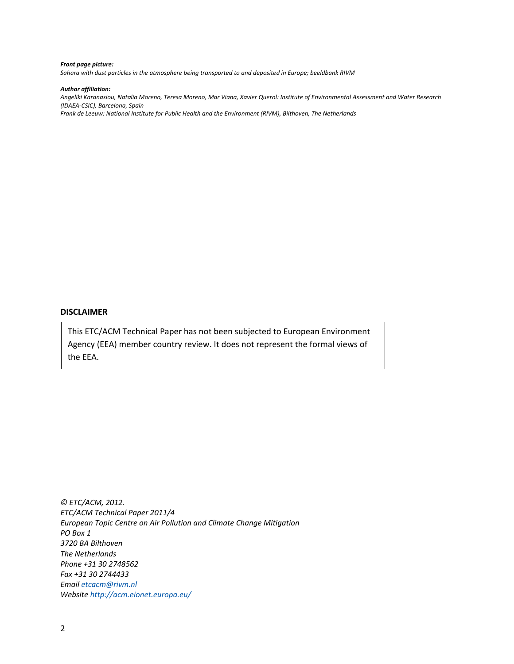#### *Front page picture:*

*Sahara with dust particles in the atmosphere being transported to and deposited in Europe; beeldbank RIVM*

#### *Author affiliation:*

Angeliki Karanasiou, Natalia Moreno, Teresa Moreno, Mar Viana, Xavier Querol: Institute of Environmental Assessment and Water Research *(IDAEA‐CSIC), Barcelona, Spain*

*Frank de Leeuw: National Institute for Public Health and the Environment (RIVM), Bilthoven, The Netherlands*

#### **DISCLAIMER**

This ETC/ACM Technical Paper has not been subjected to European Environment Agency (EEA) member country review. It does not represent the formal views of the EEA.

*© ETC/ACM, 2012. ETC/ACM Technical Paper 2011/4 European Topic Centre on Air Pollution and Climate Change Mitigation PO Box 1 3720 BA Bilthoven The Netherlands Phone +31 30 2748562 Fax +31 30 2744433 Email etcacm@rivm.nl Website http://acm.eionet.europa.eu/*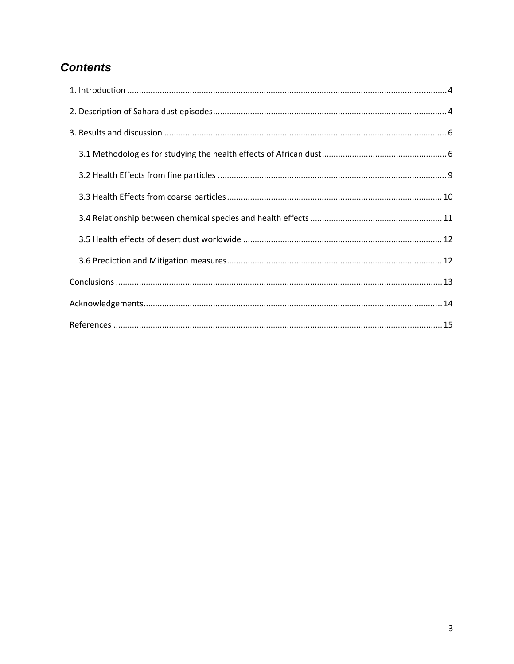# **Contents**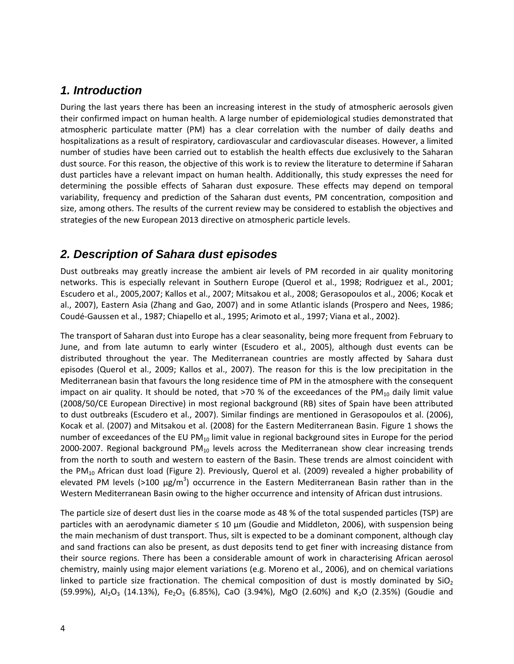#### *1. Introduction*

During the last years there has been an increasing interest in the study of atmospheric aerosols given their confirmed impact on human health. A large number of epidemiological studies demonstrated that atmospheric particulate matter (PM) has a clear correlation with the number of daily deaths and hospitalizations as a result of respiratory, cardiovascular and cardiovascular diseases. However, a limited number of studies have been carried out to establish the health effects due exclusively to the Saharan dust source. For this reason, the objective of this work is to review the literature to determine if Saharan dust particles have a relevant impact on human health. Additionally, this study expresses the need for determining the possible effects of Saharan dust exposure. These effects may depend on temporal variability, frequency and prediction of the Saharan dust events, PM concentration, composition and size, among others. The results of the current review may be considered to establish the objectives and strategies of the new European 2013 directive on atmospheric particle levels.

#### *2. Description of Sahara dust episodes*

Dust outbreaks may greatly increase the ambient air levels of PM recorded in air quality monitoring networks. This is especially relevant in Southern Europe (Querol et al., 1998; Rodriguez et al., 2001; Escudero et al., 2005,2007; Kallos et al., 2007; Mitsakou et al., 2008; Gerasopoulos et al., 2006; Kocak et al., 2007), Eastern Asia (Zhang and Gao, 2007) and in some Atlantic islands (Prospero and Nees, 1986; Coudé‐Gaussen et al., 1987; Chiapello et al., 1995; Arimoto et al., 1997; Viana et al., 2002).

The transport of Saharan dust into Europe has a clear seasonality, being more frequent from February to June, and from late autumn to early winter (Escudero et al., 2005), although dust events can be distributed throughout the year. The Mediterranean countries are mostly affected by Sahara dust episodes (Querol et al., 2009; Kallos et al., 2007). The reason for this is the low precipitation in the Mediterranean basin that favours the long residence time of PM in the atmosphere with the consequent impact on air quality. It should be noted, that  $>70$  % of the exceedances of the PM<sub>10</sub> daily limit value (2008/50/CE European Directive) in most regional background (RB) sites of Spain have been attributed to dust outbreaks (Escudero et al., 2007). Similar findings are mentioned in Gerasopoulos et al. (2006), Kocak et al. (2007) and Mitsakou et al. (2008) for the Eastern Mediterranean Basin. Figure 1 shows the number of exceedances of the EU PM $_{10}$  limit value in regional background sites in Europe for the period 2000-2007. Regional background  $PM_{10}$  levels across the Mediterranean show clear increasing trends from the north to south and western to eastern of the Basin. These trends are almost coincident with the PM<sub>10</sub> African dust load (Figure 2). Previously, Querol et al. (2009) revealed a higher probability of elevated PM levels (>100  $\mu$ g/m<sup>3</sup>) occurrence in the Eastern Mediterranean Basin rather than in the Western Mediterranean Basin owing to the higher occurrence and intensity of African dust intrusions.

The particle size of desert dust lies in the coarse mode as 48 % of the total suspended particles (TSP) are particles with an aerodynamic diameter  $\leq 10 \mu m$  (Goudie and Middleton, 2006), with suspension being the main mechanism of dust transport. Thus, silt is expected to be a dominant component, although clay and sand fractions can also be present, as dust deposits tend to get finer with increasing distance from their source regions. There has been a considerable amount of work in characterising African aerosol chemistry, mainly using major element variations (e.g. Moreno et al., 2006), and on chemical variations linked to particle size fractionation. The chemical composition of dust is mostly dominated by  $SiO<sub>2</sub>$ (59.99%), Al<sub>2</sub>O<sub>3</sub> (14.13%), Fe<sub>2</sub>O<sub>3</sub> (6.85%), CaO (3.94%), MgO (2.60%) and K<sub>2</sub>O (2.35%) (Goudie and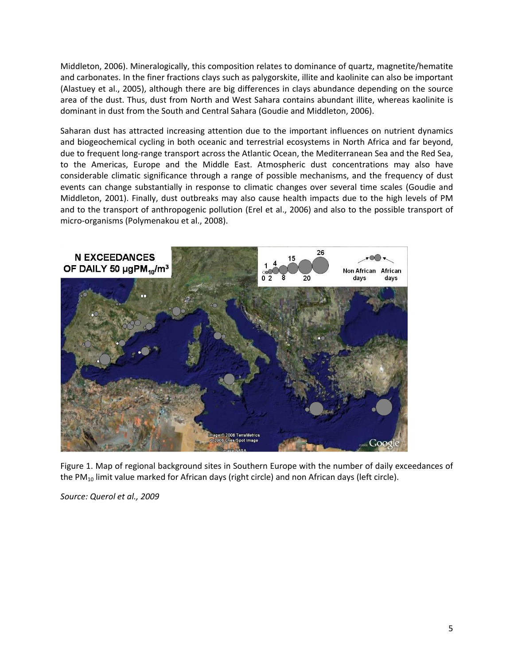Middleton, 2006). Mineralogically, this composition relates to dominance of quartz, magnetite/hematite and carbonates. In the finer fractions clays such as palygorskite, illite and kaolinite can also be important (Alastuey et al., 2005), although there are big differences in clays abundance depending on the source area of the dust. Thus, dust from North and West Sahara contains abundant illite, whereas kaolinite is dominant in dust from the South and Central Sahara (Goudie and Middleton, 2006).

Saharan dust has attracted increasing attention due to the important influences on nutrient dynamics and biogeochemical cycling in both oceanic and terrestrial ecosystems in North Africa and far beyond, due to frequent long-range transport across the Atlantic Ocean, the Mediterranean Sea and the Red Sea, to the Americas, Europe and the Middle East. Atmospheric dust concentrations may also have considerable climatic significance through a range of possible mechanisms, and the frequency of dust events can change substantially in response to climatic changes over several time scales (Goudie and Middleton, 2001). Finally, dust outbreaks may also cause health impacts due to the high levels of PM and to the transport of anthropogenic pollution (Erel et al., 2006) and also to the possible transport of micro‐organisms (Polymenakou et al., 2008).



Figure 1. Map of regional background sites in Southern Europe with the number of daily exceedances of the PM<sub>10</sub> limit value marked for African days (right circle) and non African days (left circle).

*Source: Querol et al., 2009*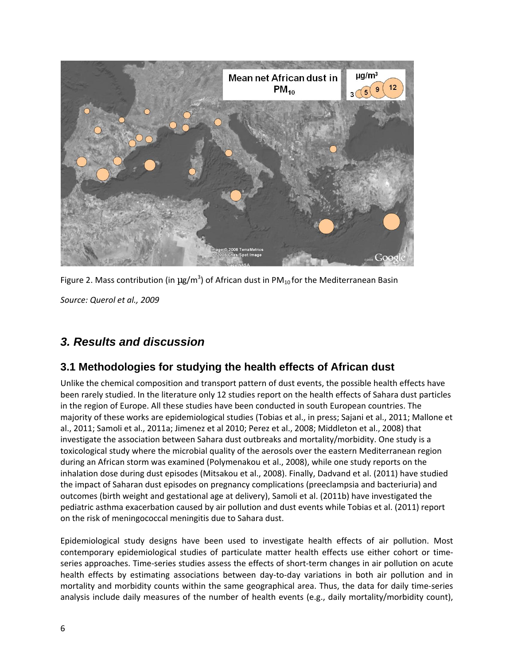

Figure 2. Mass contribution (in  $\mu$ g/m<sup>3</sup>) of African dust in PM<sub>10</sub> for the Mediterranean Basin

*Source: Querol et al., 2009*

## *3. Results and discussion*

### **3.1 Methodologies for studying the health effects of African dust**

Unlike the chemical composition and transport pattern of dust events, the possible health effects have been rarely studied. In the literature only 12 studies report on the health effects of Sahara dust particles in the region of Europe. All these studies have been conducted in south European countries. The majority of these works are epidemiological studies (Tobias et al., in press; Sajani et al., 2011; Mallone et al., 2011; Samoli et al., 2011a; Jimenez et al 2010; Perez et al., 2008; Middleton et al., 2008) that investigate the association between Sahara dust outbreaks and mortality/morbidity. One study is a toxicological study where the microbial quality of the aerosols over the eastern Mediterranean region during an African storm was examined (Polymenakou et al., 2008), while one study reports on the inhalation dose during dust episodes (Mitsakou et al., 2008). Finally, Dadvand et al. (2011) have studied the impact of Saharan dust episodes on pregnancy complications (preeclampsia and bacteriuria) and outcomes (birth weight and gestational age at delivery), Samoli et al. (2011b) have investigated the pediatric asthma exacerbation caused by air pollution and dust events while Tobias et al. (2011) report on the risk of meningococcal meningitis due to Sahara dust.

Epidemiological study designs have been used to investigate health effects of air pollution. Most contemporary epidemiological studies of particulate matter health effects use either cohort or time‐ series approaches. Time-series studies assess the effects of short-term changes in air pollution on acute health effects by estimating associations between day-to-day variations in both air pollution and in mortality and morbidity counts within the same geographical area. Thus, the data for daily time-series analysis include daily measures of the number of health events (e.g., daily mortality/morbidity count),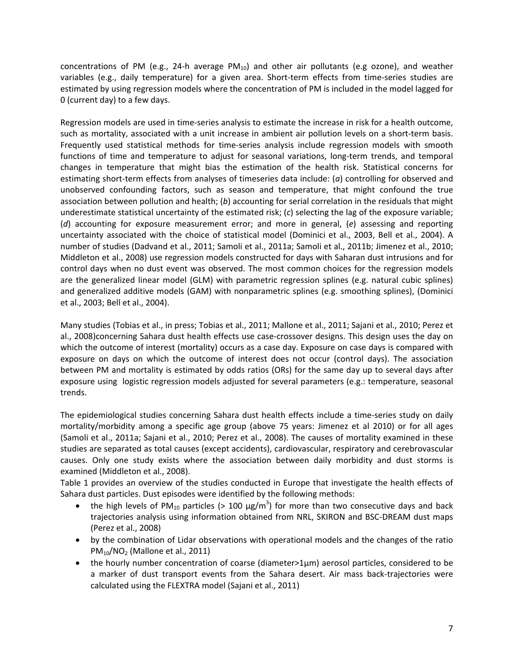concentrations of PM (e.g., 24-h average PM<sub>10</sub>) and other air pollutants (e.g ozone), and weather variables (e.g., daily temperature) for a given area. Short-term effects from time-series studies are estimated by using regression models where the concentration of PM is included in the model lagged for 0 (current day) to a few days.

Regression models are used in time‐series analysis to estimate the increase in risk for a health outcome, such as mortality, associated with a unit increase in ambient air pollution levels on a short-term basis. Frequently used statistical methods for time‐series analysis include regression models with smooth functions of time and temperature to adjust for seasonal variations, long-term trends, and temporal changes in temperature that might bias the estimation of the health risk. Statistical concerns for estimating short-term effects from analyses of timeseries data include: (*a*) controlling for observed and unobserved confounding factors, such as season and temperature, that might confound the true association between pollution and health; (*b*) accounting for serial correlation in the residuals that might underestimate statistical uncertainty of the estimated risk; (*c*) selecting the lag of the exposure variable; (*d*) accounting for exposure measurement error; and more in general, (*e*) assessing and reporting uncertainty associated with the choice of statistical model (Dominici et al., 2003, Bell et al., 2004). A number of studies (Dadvand et al., 2011; Samoli et al., 2011a; Samoli et al., 2011b; Jimenez et al., 2010; Middleton et al., 2008) use regression models constructed for days with Saharan dust intrusions and for control days when no dust event was observed. The most common choices for the regression models are the generalized linear model (GLM) with parametric regression splines (e.g. natural cubic splines) and generalized additive models (GAM) with nonparametric splines (e.g. smoothing splines), (Dominici et al., 2003; Bell et al., 2004).

Many studies (Tobias et al., in press; Tobias et al., 2011; Mallone et al., 2011; Sajani et al., 2010; Perez et al., 2008)concerning Sahara dust health effects use case‐crossover designs. This design uses the day on which the outcome of interest (mortality) occurs as a case day. Exposure on case days is compared with exposure on days on which the outcome of interest does not occur (control days). The association between PM and mortality is estimated by odds ratios (ORs) for the same day up to several days after exposure using logistic regression models adjusted for several parameters (e.g.: temperature, seasonal trends.

The epidemiological studies concerning Sahara dust health effects include a time‐series study on daily mortality/morbidity among a specific age group (above 75 years: Jimenez et al 2010) or for all ages (Samoli et al., 2011a; Sajani et al., 2010; Perez et al., 2008). The causes of mortality examined in these studies are separated as total causes (except accidents), cardiovascular, respiratory and cerebrovascular causes. Only one study exists where the association between daily morbidity and dust storms is examined (Middleton et al., 2008).

Table 1 provides an overview of the studies conducted in Europe that investigate the health effects of Sahara dust particles. Dust episodes were identified by the following methods:

- the high levels of PM<sub>10</sub> particles (> 100  $\mu$ g/m<sup>3</sup>) for more than two consecutive days and back trajectories analysis using information obtained from NRL, SKIRON and BSC‐DREAM dust maps (Perez et al., 2008)
- by the combination of Lidar observations with operational models and the changes of the ratio  $PM_{10}/NO_2$  (Mallone et al., 2011)
- the hourly number concentration of coarse (diameter>1μm) aerosol particles, considered to be a marker of dust transport events from the Sahara desert. Air mass back‐trajectories were calculated using the FLEXTRA model (Sajani et al., 2011)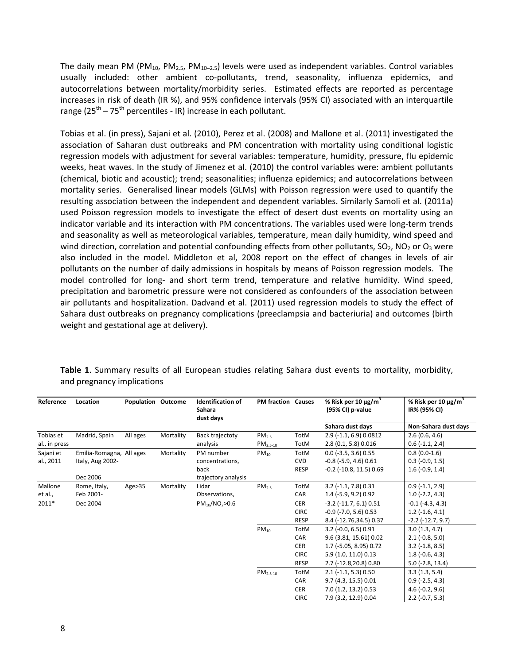The daily mean PM (PM<sub>10</sub>, PM<sub>2.5</sub>, PM<sub>10-2.5</sub>) levels were used as independent variables. Control variables usually included: other ambient co-pollutants, trend, seasonality, influenza epidemics, and autocorrelations between mortality/morbidity series. Estimated effects are reported as percentage increases in risk of death (IR %), and 95% confidence intervals (95% CI) associated with an interquartile range ( $25<sup>th</sup> - 75<sup>th</sup>$  percentiles - IR) increase in each pollutant.

Tobias et al. (in press), Sajani et al. (2010), Perez et al. (2008) and Mallone et al. (2011) investigated the association of Saharan dust outbreaks and PM concentration with mortality using conditional logistic regression models with adjustment for several variables: temperature, humidity, pressure, flu epidemic weeks, heat waves. In the study of Jimenez et al. (2010) the control variables were: ambient pollutants (chemical, biotic and acoustic); trend; seasonalities; influenza epidemics; and autocorrelations between mortality series. Generalised linear models (GLMs) with Poisson regression were used to quantify the resulting association between the independent and dependent variables. Similarly Samoli et al. (2011a) used Poisson regression models to investigate the effect of desert dust events on mortality using an indicator variable and its interaction with PM concentrations. The variables used were long‐term trends and seasonality as well as meteorological variables, temperature, mean daily humidity, wind speed and wind direction, correlation and potential confounding effects from other pollutants,  $SO_2$ , NO<sub>2</sub> or O<sub>3</sub> were also included in the model. Middleton et al, 2008 report on the effect of changes in levels of air pollutants on the number of daily admissions in hospitals by means of Poisson regression models. The model controlled for long- and short term trend, temperature and relative humidity. Wind speed, precipitation and barometric pressure were not considered as confounders of the association between air pollutants and hospitalization. Dadvand et al. (2011) used regression models to study the effect of Sahara dust outbreaks on pregnancy complications (preeclampsia and bacteriuria) and outcomes (birth weight and gestational age at delivery).

| Reference     | Location                 | <b>Population Outcome</b> |           | <b>Identification of</b><br>Sahara<br>dust days | <b>PM fraction Causes</b> |             | % Risk per 10 $\mu$ g/m <sup>3</sup><br>(95% CI) p-value | % Risk per 10 $\mu$ g/m <sup>3</sup><br>IR% (95% CI) |
|---------------|--------------------------|---------------------------|-----------|-------------------------------------------------|---------------------------|-------------|----------------------------------------------------------|------------------------------------------------------|
|               |                          |                           |           |                                                 |                           |             | Sahara dust days                                         | Non-Sahara dust days                                 |
| Tobias et     | Madrid, Spain            | All ages                  | Mortality | Back trajectoty                                 | PM <sub>2.5</sub>         | <b>TotM</b> | $2.9$ (-1.1, 6.9) 0.0812                                 | 2.6(0.6, 4.6)                                        |
| al., in press |                          |                           |           | analysis                                        | $PM_{2.5-10}$             | TotM        | 2.8(0.1, 5.8)0.016                                       | $0.6$ ( $-1.1$ , 2.4)                                |
| Sajani et     | Emilia-Romagna, All ages |                           | Mortality | PM number                                       | $PM_{10}$                 | TotM        | $0.0$ (-3.5, 3.6) $0.55$                                 | $0.8(0.0-1.6)$                                       |
| al., 2011     | Italy, Aug 2002-         |                           |           | concentrations,                                 |                           | <b>CVD</b>  | $-0.8$ ( $-5.9$ , 4.6) $0.61$                            | $0.3$ ( $-0.9$ , 1.5)                                |
|               |                          |                           |           | back                                            |                           | <b>RESP</b> | $-0.2$ ( $-10.8$ , 11.5) 0.69                            | $1.6(-0.9, 1.4)$                                     |
|               | Dec 2006                 |                           |           | trajectory analysis                             |                           |             |                                                          |                                                      |
| Mallone       | Rome, Italy,             | Age > 35                  | Mortality | Lidar                                           | PM <sub>2.5</sub>         | TotM        | $3.2$ (-1.1, 7.8) 0.31                                   | $0.9(-1.1, 2.9)$                                     |
| et al.,       | Feb 2001-                |                           |           | Observations,                                   |                           | CAR         | 1.4 (-5.9, 9.2) 0.92                                     | $1.0$ (-2.2, 4.3)                                    |
| 2011*         | Dec 2004                 |                           |           | $PM_{10}/NO_2 > 0.6$                            |                           | <b>CER</b>  | $-3.2$ ( $-11.7$ , 6.1) 0.51                             | $-0.1$ $(-4.3, 4.3)$                                 |
|               |                          |                           |           |                                                 |                           | <b>CIRC</b> | $-0.9$ ( $-7.0$ , 5.6) 0.53                              | $1.2$ (-1.6, 4.1)                                    |
|               |                          |                           |           |                                                 |                           | <b>RESP</b> | 8.4 (-12.76,34.5) 0.37                                   | $-2.2$ ( $-12.7, 9.7$ )                              |
|               |                          |                           |           |                                                 | $PM_{10}$                 | <b>TotM</b> | $3.2$ (-0.0, 6.5) 0.91                                   | 3.0(1.3, 4.7)                                        |
|               |                          |                           |           |                                                 |                           | CAR         | 9.6 (3.81, 15.61) 0.02                                   | $2.1(-0.8, 5.0)$                                     |
|               |                          |                           |           |                                                 |                           | <b>CER</b>  | 1.7 (-5.05, 8.95) 0.72                                   | $3.2$ ( $-1.8$ , $8.5$ )                             |
|               |                          |                           |           |                                                 |                           | <b>CIRC</b> | 5.9 (1.0, 11.0) 0.13                                     | $1.8(-0.6, 4.3)$                                     |
|               |                          |                           |           |                                                 |                           | <b>RESP</b> | 2.7 (-12.8,20.8) 0.80                                    | $5.0$ (-2.8, 13.4)                                   |
|               |                          |                           |           |                                                 | $PM2.5-10$                | TotM        | $2.1$ (-1.1, 5.3) 0.50                                   | 3.3(1.3, 5.4)                                        |
|               |                          |                           |           |                                                 |                           | CAR         | 9.7(4.3, 15.5)0.01                                       | $0.9$ (-2.5, 4.3)                                    |
|               |                          |                           |           |                                                 |                           | <b>CER</b>  | 7.0 (1.2, 13.2) 0.53                                     | $4.6(-0.2, 9.6)$                                     |
|               |                          |                           |           |                                                 |                           | <b>CIRC</b> | 7.9 (3.2, 12.9) 0.04                                     | $2.2$ (-0.7, 5.3)                                    |
|               |                          |                           |           |                                                 |                           |             |                                                          |                                                      |

**Table 1**. Summary results of all European studies relating Sahara dust events to mortality, morbidity, and pregnancy implications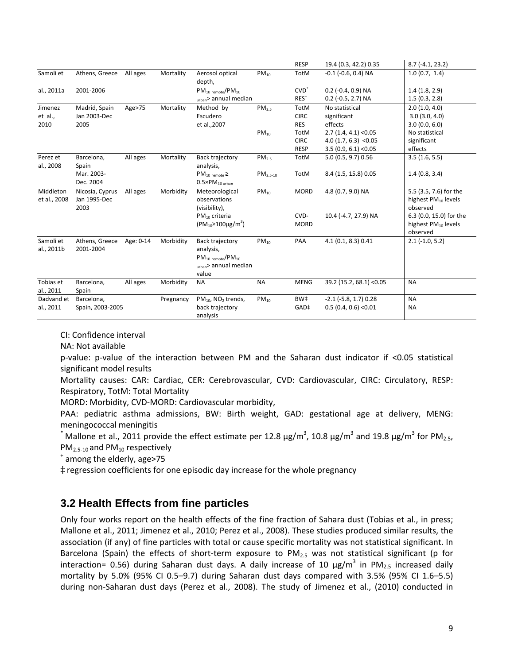|                           |                                         |           |           |                                                                                                   |                   | <b>RESP</b>         | 19.4 (0.3, 42.2) 0.35       | $8.7(-4.1, 23.2)$                                               |
|---------------------------|-----------------------------------------|-----------|-----------|---------------------------------------------------------------------------------------------------|-------------------|---------------------|-----------------------------|-----------------------------------------------------------------|
| Samoli et                 | Athens, Greece                          | All ages  | Mortality | Aerosol optical<br>depth,                                                                         | $PM_{10}$         | TotM                | $-0.1$ ( $-0.6$ , 0.4) NA   | 1.0(0.7, 1.4)                                                   |
| al., 2011a                | 2001-2006                               |           |           | $PM_{10 \text{ remote}}/PM_{10}$                                                                  |                   | $CVD+$              | $0.2$ (-0.4, 0.9) NA        | 1.4(1.8, 2.9)                                                   |
|                           |                                         |           |           | urban> annual median                                                                              |                   | $RES+$              | $0.2$ (-0.5, 2.7) NA        | 1.5(0.3, 2.8)                                                   |
| Jimenez                   | Madrid, Spain                           | Age>75    | Mortality | Method by                                                                                         | PM <sub>2.5</sub> | <b>TotM</b>         | No statistical              | 2.0(1.0, 4.0)                                                   |
| et al.,                   | Jan 2003-Dec                            |           |           | Escudero                                                                                          |                   | <b>CIRC</b>         | significant                 | 3.0(3.0, 4.0)                                                   |
| 2010                      | 2005                                    |           |           | et al., 2007                                                                                      |                   | <b>RES</b>          | effects                     | 3.0(0.0, 6.0)                                                   |
|                           |                                         |           |           |                                                                                                   | $PM_{10}$         | TotM                | $2.7(1.4, 4.1)$ < 0.05      | No statistical                                                  |
|                           |                                         |           |           |                                                                                                   |                   | <b>CIRC</b>         | $4.0(1.7, 6.3)$ < 0.05      | significant                                                     |
|                           |                                         |           |           |                                                                                                   |                   | <b>RESP</b>         | $3.5(0.9, 6.1)$ < 0.05      | effects                                                         |
| Perez et<br>al., 2008     | Barcelona,<br>Spain                     | All ages  | Mortality | Back trajectory<br>analysis,                                                                      | PM <sub>2.5</sub> | TotM                | 5.0 (0.5, 9.7) 0.56         | 3.5(1.6, 5.5)                                                   |
|                           | Mar. 2003-<br>Dec. 2004                 |           |           | $PM_{10$ remote $\geq$<br>$0.5\times PM_{10\text{ urban}}$                                        | $PM2.5-10$        | TotM                | 8.4 (1.5, 15.8) 0.05        | 1.4(0.8, 3.4)                                                   |
| Middleton<br>et al., 2008 | Nicosia, Cyprus<br>Jan 1995-Dec<br>2003 | All ages  | Morbidity | Meteorological<br>observations<br>(visibility),                                                   | $PM_{10}$         | <b>MORD</b>         | 4.8 (0.7, 9.0) NA           | 5.5 (3.5, 7.6) for the<br>highest $PM_{10}$ levels<br>observed  |
|                           |                                         |           |           | $PM_{10}$ criteria<br>$(PM_{10} \ge 100 \mu g/m^3)$                                               |                   | CVD-<br><b>MORD</b> | 10.4 (-4.7, 27.9) NA        | 6.3 (0.0, 15.0) for the<br>highest $PM_{10}$ levels<br>observed |
| Samoli et<br>al., 2011b   | Athens, Greece<br>2001-2004             | Age: 0-14 | Morbidity | Back trajectory<br>analysis,<br>$PM_{10 \text{ remote}}/PM_{10}$<br>urban> annual median<br>value | $PM_{10}$         | PAA                 | 4.1 (0.1, 8.3) 0.41         | $2.1$ (-1.0, 5.2)                                               |
| Tobias et<br>al., 2011    | Barcelona,<br>Spain                     | All ages  | Morbidity | <b>NA</b>                                                                                         | <b>NA</b>         | <b>MENG</b>         | 39.2 (15.2, 68.1) < 0.05    | <b>NA</b>                                                       |
| Dadvand et                | Barcelona,                              |           | Pregnancy | $PM_{10}$ , NO <sub>2</sub> trends,                                                               | $PM_{10}$         | BW#                 | $-2.1$ ( $-5.8$ , 1.7) 0.28 | <b>NA</b>                                                       |
| al., 2011                 | Spain, 2003-2005                        |           |           | back trajectory<br>analysis                                                                       |                   | GAD‡                | $0.5(0.4, 0.6)$ < $0.01$    | <b>NA</b>                                                       |

CI: Confidence interval

NA: Not available

p-value: p-value of the interaction between PM and the Saharan dust indicator if <0.05 statistical significant model results

Mortality causes: CAR: Cardiac, CER: Cerebrovascular, CVD: Cardiovascular, CIRC: Circulatory, RESP: Respiratory, TotM: Total Mortality

MORD: Morbidity, CVD‐MORD: Cardiovascular morbidity,

PAA: pediatric asthma admissions, BW: Birth weight, GAD: gestational age at delivery, MENG: meningococcal meningitis

 $^{*}$  Mallone et al., 2011 provide the effect estimate per 12.8  $\mu$ g/m<sup>3</sup>, 10.8  $\mu$ g/m<sup>3</sup> and 19.8  $\mu$ g/m<sup>3</sup> for PM<sub>2.5</sub>, PM<sub>2.5-10</sub> and PM<sub>10</sub> respectively  $+$  among the elderly, age>75

‡ regression coefficients for one episodic day increase for the whole pregnancy

#### **3.2 Health Effects from fine particles**

Only four works report on the health effects of the fine fraction of Sahara dust (Tobias et al., in press; Mallone et al., 2011; Jimenez et al., 2010; Perez et al., 2008). These studies produced similar results, the association (if any) of fine particles with total or cause specific mortality was not statistical significant. In Barcelona (Spain) the effects of short-term exposure to  $PM_{2.5}$  was not statistical significant (p for interaction= 0.56) during Saharan dust days. A daily increase of 10  $\mu$ g/m<sup>3</sup> in PM<sub>2.5</sub> increased daily mortality by 5.0% (95% CI 0.5–9.7) during Saharan dust days compared with 3.5% (95% CI 1.6–5.5) during non‐Saharan dust days (Perez et al., 2008). The study of Jimenez et al., (2010) conducted in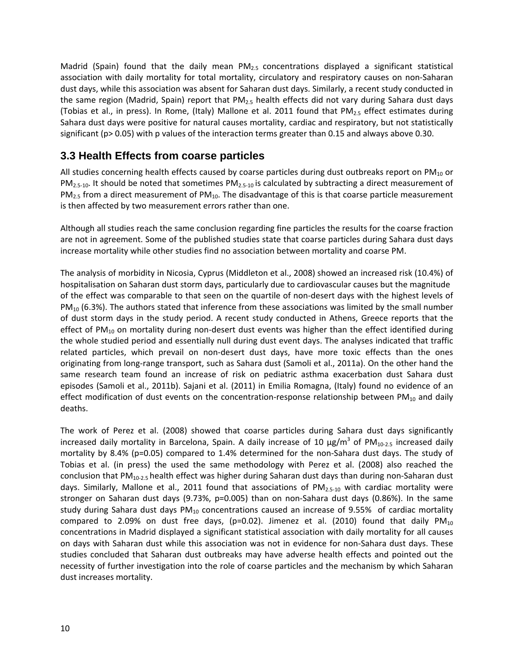Madrid (Spain) found that the daily mean  $PM_{2.5}$  concentrations displayed a significant statistical association with daily mortality for total mortality, circulatory and respiratory causes on non‐Saharan dust days, while this association was absent for Saharan dust days. Similarly, a recent study conducted in the same region (Madrid, Spain) report that PM<sub>2.5</sub> health effects did not vary during Sahara dust days (Tobias et al., in press). In Rome, (Italy) Mallone et al. 2011 found that  $PM_{2.5}$  effect estimates during Sahara dust days were positive for natural causes mortality, cardiac and respiratory, but not statistically significant (p> 0.05) with p values of the interaction terms greater than 0.15 and always above 0.30.

#### **3.3 Health Effects from coarse particles**

All studies concerning health effects caused by coarse particles during dust outbreaks report on  $PM_{10}$  or  $PM_{2.5-10}$ . It should be noted that sometimes  $PM_{2.5-10}$  is calculated by subtracting a direct measurement of  $PM_{2.5}$  from a direct measurement of  $PM_{10}$ . The disadvantage of this is that coarse particle measurement is then affected by two measurement errors rather than one.

Although all studies reach the same conclusion regarding fine particles the results for the coarse fraction are not in agreement. Some of the published studies state that coarse particles during Sahara dust days increase mortality while other studies find no association between mortality and coarse PM.

The analysis of morbidity in Nicosia, Cyprus (Middleton et al., 2008) showed an increased risk (10.4%) of hospitalisation on Saharan dust storm days, particularly due to cardiovascular causes but the magnitude of the effect was comparable to that seen on the quartile of non‐desert days with the highest levels of  $PM_{10}$  (6.3%). The authors stated that inference from these associations was limited by the small number of dust storm days in the study period. A recent study conducted in Athens, Greece reports that the effect of PM<sub>10</sub> on mortality during non-desert dust events was higher than the effect identified during the whole studied period and essentially null during dust event days. The analyses indicated that traffic related particles, which prevail on non-desert dust days, have more toxic effects than the ones originating from long‐range transport, such as Sahara dust (Samoli et al., 2011a). On the other hand the same research team found an increase of risk on pediatric asthma exacerbation dust Sahara dust episodes (Samoli et al., 2011b). Sajani et al. (2011) in Emilia Romagna, (Italy) found no evidence of an effect modification of dust events on the concentration-response relationship between  $PM_{10}$  and daily deaths.

The work of Perez et al. (2008) showed that coarse particles during Sahara dust days significantly increased daily mortality in Barcelona, Spain. A daily increase of 10  $\mu$ g/m<sup>3</sup> of PM<sub>10-2.5</sub> increased daily mortality by 8.4% (p=0.05) compared to 1.4% determined for the non-Sahara dust days. The study of Tobias et al. (in press) the used the same methodology with Perez et al. (2008) also reached the conclusion that PM<sub>10-2.5</sub> health effect was higher during Saharan dust days than during non-Saharan dust days. Similarly, Mallone et al., 2011 found that associations of  $PM_{2.5-10}$  with cardiac mortality were stronger on Saharan dust days (9.73%, p=0.005) than on non-Sahara dust days (0.86%). In the same study during Sahara dust days  $PM_{10}$  concentrations caused an increase of 9.55% of cardiac mortality compared to 2.09% on dust free days, (p=0.02). Jimenez et al. (2010) found that daily  $PM_{10}$ concentrations in Madrid displayed a significant statistical association with daily mortality for all causes on days with Saharan dust while this association was not in evidence for non‐Sahara dust days. These studies concluded that Saharan dust outbreaks may have adverse health effects and pointed out the necessity of further investigation into the role of coarse particles and the mechanism by which Saharan dust increases mortality.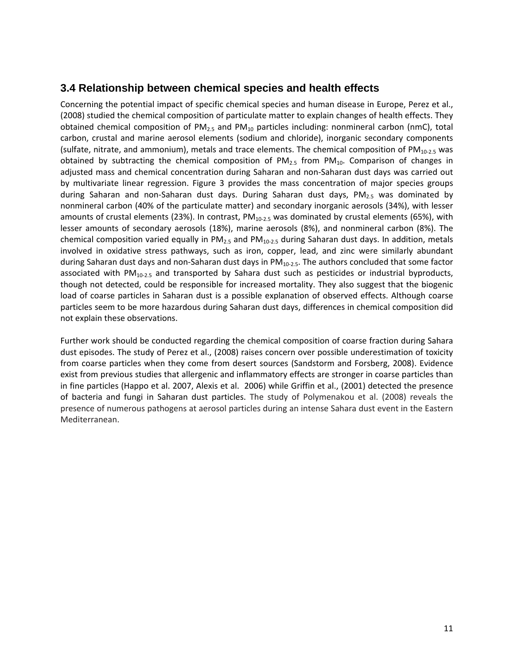#### **3.4 Relationship between chemical species and health effects**

Concerning the potential impact of specific chemical species and human disease in Europe, Perez et al., (2008) studied the chemical composition of particulate matter to explain changes of health effects. They obtained chemical composition of  $PM_{2.5}$  and  $PM_{10}$  particles including: nonmineral carbon (nmC), total carbon, crustal and marine aerosol elements (sodium and chloride), inorganic secondary components (sulfate, nitrate, and ammonium), metals and trace elements. The chemical composition of  $PM_{10-2.5}$  was obtained by subtracting the chemical composition of  $PM_{2.5}$  from  $PM_{10}$ . Comparison of changes in adjusted mass and chemical concentration during Saharan and non‐Saharan dust days was carried out by multivariate linear regression. Figure 3 provides the mass concentration of major species groups during Saharan and non-Saharan dust days. During Saharan dust days,  $PM_{2.5}$  was dominated by nonmineral carbon (40% of the particulate matter) and secondary inorganic aerosols (34%), with lesser amounts of crustal elements (23%). In contrast,  $PM_{10-2.5}$  was dominated by crustal elements (65%), with lesser amounts of secondary aerosols (18%), marine aerosols (8%), and nonmineral carbon (8%). The chemical composition varied equally in  $PM_{2.5}$  and  $PM_{10-2.5}$  during Saharan dust days. In addition, metals involved in oxidative stress pathways, such as iron, copper, lead, and zinc were similarly abundant during Saharan dust days and non-Saharan dust days in PM<sub>10-2.5</sub>. The authors concluded that some factor associated with  $PM_{10-2.5}$  and transported by Sahara dust such as pesticides or industrial byproducts, though not detected, could be responsible for increased mortality. They also suggest that the biogenic load of coarse particles in Saharan dust is a possible explanation of observed effects. Although coarse particles seem to be more hazardous during Saharan dust days, differences in chemical composition did not explain these observations.

Further work should be conducted regarding the chemical composition of coarse fraction during Sahara dust episodes. The study of Perez et al., (2008) raises concern over possible underestimation of toxicity from coarse particles when they come from desert sources (Sandstorm and Forsberg, 2008). Evidence exist from previous studies that allergenic and inflammatory effects are stronger in coarse particles than in fine particles (Happo et al. 2007, Alexis et al. 2006) while Griffin et al., (2001) detected the presence of bacteria and fungi in Saharan dust particles. The study of Polymenakou et al. (2008) reveals the presence of numerous pathogens at aerosol particles during an intense Sahara dust event in the Eastern Mediterranean.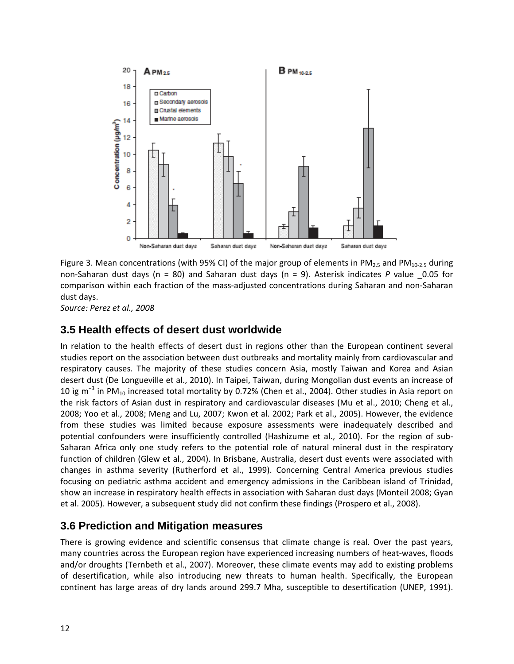

Figure 3. Mean concentrations (with 95% CI) of the major group of elements in PM<sub>2.5</sub> and PM<sub>10-2.5</sub> during non‐Saharan dust days (n = 80) and Saharan dust days (n = 9). Asterisk indicates *P* value \_0.05 for comparison within each fraction of the mass‐adjusted concentrations during Saharan and non‐Saharan dust days.

*Source: Perez et al., 2008*

#### **3.5 Health effects of desert dust worldwide**

In relation to the health effects of desert dust in regions other than the European continent several studies report on the association between dust outbreaks and mortality mainly from cardiovascular and respiratory causes. The majority of these studies concern Asia, mostly Taiwan and Korea and Asian desert dust (De Longueville et al., 2010). In Taipei, Taiwan, during Mongolian dust events an increase of 10 ìg m<sup>-3</sup> in PM<sub>10</sub> increased total mortality by 0.72% (Chen et al., 2004). Other studies in Asia report on the risk factors of Asian dust in respiratory and cardiovascular diseases (Mu et al., 2010; Cheng et al., 2008; Yoo et al., 2008; Meng and Lu, 2007; Kwon et al. 2002; Park et al., 2005). However, the evidence from these studies was limited because exposure assessments were inadequately described and potential confounders were insufficiently controlled (Hashizume et al., 2010). For the region of sub-Saharan Africa only one study refers to the potential role of natural mineral dust in the respiratory function of children (Glew et al., 2004). In Brisbane, Australia, desert dust events were associated with changes in asthma severity (Rutherford et al., 1999). Concerning Central America previous studies focusing on pediatric asthma accident and emergency admissions in the Caribbean island of Trinidad, show an increase in respiratory health effects in association with Saharan dust days (Monteil 2008; Gyan et al. 2005). However, a subsequent study did not confirm these findings (Prospero et al., 2008).

#### **3.6 Prediction and Mitigation measures**

There is growing evidence and scientific consensus that climate change is real. Over the past years, many countries across the European region have experienced increasing numbers of heat-waves, floods and/or droughts (Ternbeth et al., 2007). Moreover, these climate events may add to existing problems of desertification, while also introducing new threats to human health. Specifically, the European continent has large areas of dry lands around 299.7 Mha, susceptible to desertification (UNEP, 1991).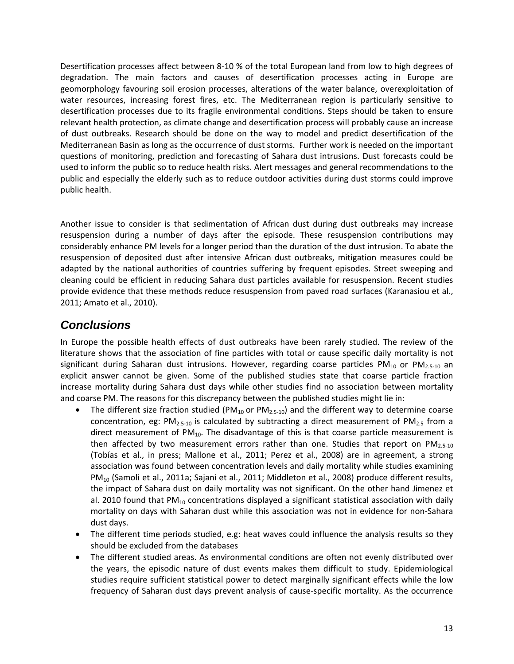Desertification processes affect between 8‐10 % of the total European land from low to high degrees of degradation. The main factors and causes of desertification processes acting in Europe are geomorphology favouring soil erosion processes, alterations of the water balance, overexploitation of water resources, increasing forest fires, etc. The Mediterranean region is particularly sensitive to desertification processes due to its fragile environmental conditions. Steps should be taken to ensure relevant health protection, as climate change and desertification process will probably cause an increase of dust outbreaks. Research should be done on the way to model and predict desertification of the Mediterranean Basin as long as the occurrence of dust storms. Further work is needed on the important questions of monitoring, prediction and forecasting of Sahara dust intrusions. Dust forecasts could be used to inform the public so to reduce health risks. Alert messages and general recommendations to the public and especially the elderly such as to reduce outdoor activities during dust storms could improve public health.

Another issue to consider is that sedimentation of African dust during dust outbreaks may increase resuspension during a number of days after the episode. These resuspension contributions may considerably enhance PM levels for a longer period than the duration of the dust intrusion. To abate the resuspension of deposited dust after intensive African dust outbreaks, mitigation measures could be adapted by the national authorities of countries suffering by frequent episodes. Street sweeping and cleaning could be efficient in reducing Sahara dust particles available for resuspension. Recent studies provide evidence that these methods reduce resuspension from paved road surfaces (Karanasiou et al., 2011; Amato et al., 2010).

### *Conclusions*

In Europe the possible health effects of dust outbreaks have been rarely studied. The review of the literature shows that the association of fine particles with total or cause specific daily mortality is not significant during Saharan dust intrusions. However, regarding coarse particles PM<sub>10</sub> or PM<sub>2.5-10</sub> an explicit answer cannot be given. Some of the published studies state that coarse particle fraction increase mortality during Sahara dust days while other studies find no association between mortality and coarse PM. The reasons for this discrepancy between the published studies might lie in:

- The different size fraction studied (PM<sub>10</sub> or PM<sub>2.5-10</sub>) and the different way to determine coarse concentration, eg:  $PM_{2.5-10}$  is calculated by subtracting a direct measurement of  $PM_{2.5}$  from a direct measurement of  $PM_{10}$ . The disadvantage of this is that coarse particle measurement is then affected by two measurement errors rather than one. Studies that report on PM<sub>2.5</sub>-10 (Tobías et al., in press; Mallone et al., 2011; Perez et al., 2008) are in agreement, a strong association was found between concentration levels and daily mortality while studies examining PM<sub>10</sub> (Samoli et al., 2011a; Sajani et al., 2011; Middleton et al., 2008) produce different results, the impact of Sahara dust on daily mortality was not significant. On the other hand Jimenez et al. 2010 found that  $PM_{10}$  concentrations displayed a significant statistical association with daily mortality on days with Saharan dust while this association was not in evidence for non‐Sahara dust days.
- The different time periods studied, e.g: heat waves could influence the analysis results so they should be excluded from the databases
- The different studied areas. As environmental conditions are often not evenly distributed over the years, the episodic nature of dust events makes them difficult to study. Epidemiological studies require sufficient statistical power to detect marginally significant effects while the low frequency of Saharan dust days prevent analysis of cause‐specific mortality. As the occurrence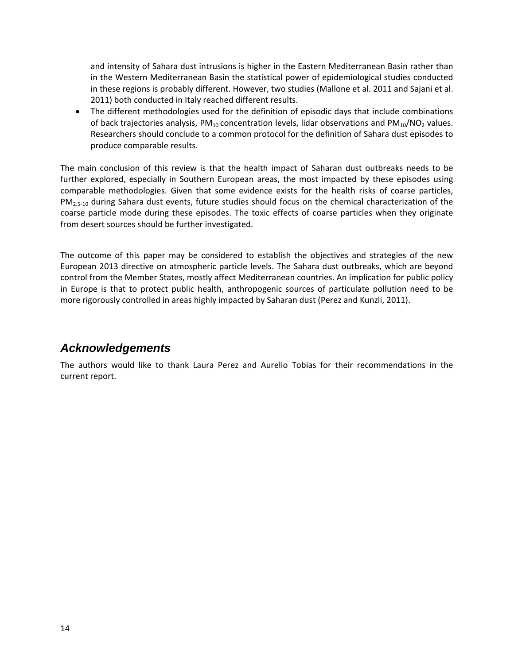and intensity of Sahara dust intrusions is higher in the Eastern Mediterranean Basin rather than in the Western Mediterranean Basin the statistical power of epidemiological studies conducted in these regions is probably different. However, two studies (Mallone et al. 2011 and Sajani et al. 2011) both conducted in Italy reached different results.

 The different methodologies used for the definition of episodic days that include combinations of back trajectories analysis,  $PM_{10}$  concentration levels, lidar observations and  $PM_{10}/NO_2$  values. Researchers should conclude to a common protocol for the definition of Sahara dust episodes to produce comparable results.

The main conclusion of this review is that the health impact of Saharan dust outbreaks needs to be further explored, especially in Southern European areas, the most impacted by these episodes using comparable methodologies. Given that some evidence exists for the health risks of coarse particles, PM<sub>2.5-10</sub> during Sahara dust events, future studies should focus on the chemical characterization of the coarse particle mode during these episodes. The toxic effects of coarse particles when they originate from desert sources should be further investigated.

The outcome of this paper may be considered to establish the objectives and strategies of the new European 2013 directive on atmospheric particle levels. The Sahara dust outbreaks, which are beyond control from the Member States, mostly affect Mediterranean countries. An implication for public policy in Europe is that to protect public health, anthropogenic sources of particulate pollution need to be more rigorously controlled in areas highly impacted by Saharan dust (Perez and Kunzli, 2011).

### *Acknowledgements*

The authors would like to thank Laura Perez and Aurelio Tobias for their recommendations in the current report.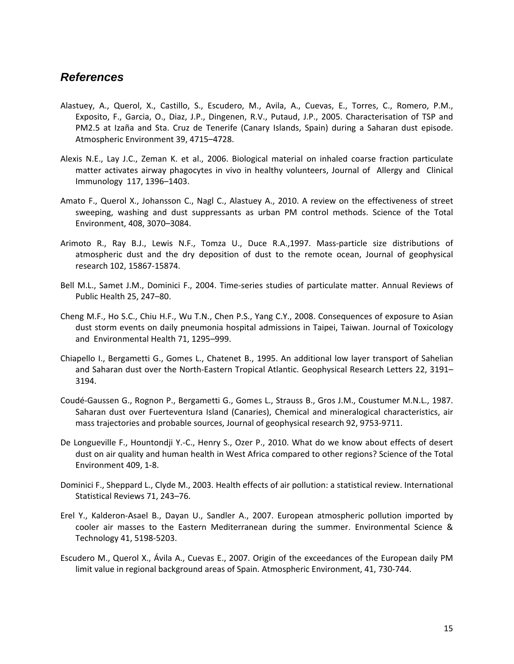#### *References*

- Alastuey, A., Querol, X., Castillo, S., Escudero, M., Avila, A., Cuevas, E., Torres, C., Romero, P.M., Exposito, F., Garcia, O., Diaz, J.P., Dingenen, R.V., Putaud, J.P., 2005. Characterisation of TSP and PM2.5 at Izaña and Sta. Cruz de Tenerife (Canary Islands, Spain) during a Saharan dust episode. Atmospheric Environment 39, 4715–4728.
- Alexis N.E., Lay J.C., Zeman K. et al., 2006. Biological material on inhaled coarse fraction particulate matter activates airway phagocytes in vivo in healthy volunteers, Journal of Allergy and Clinical Immunology 117, 1396–1403.
- Amato F., Querol X., Johansson C., Nagl C., Alastuey A., 2010. A review on the effectiveness of street sweeping, washing and dust suppressants as urban PM control methods. Science of the Total Environment, 408, 3070–3084.
- Arimoto R., Ray B.J., Lewis N.F., Tomza U., Duce R.A.,1997. Mass‐particle size distributions of atmospheric dust and the dry deposition of dust to the remote ocean, Journal of geophysical research 102, 15867‐15874.
- Bell M.L., Samet J.M., Dominici F., 2004. Time‐series studies of particulate matter. Annual Reviews of Public Health 25, 247–80.
- Cheng M.F., Ho S.C., Chiu H.F., Wu T.N., Chen P.S., Yang C.Y., 2008. Consequences of exposure to Asian dust storm events on daily pneumonia hospital admissions in Taipei, Taiwan. Journal of Toxicology and Environmental Health 71, 1295–999.
- Chiapello I., Bergametti G., Gomes L., Chatenet B., 1995. An additional low layer transport of Sahelian and Saharan dust over the North‐Eastern Tropical Atlantic. Geophysical Research Letters 22, 3191– 3194.
- Coudé‐Gaussen G., Rognon P., Bergametti G., Gomes L., Strauss B., Gros J.M., Coustumer M.N.L., 1987. Saharan dust over Fuerteventura Island (Canaries), Chemical and mineralogical characteristics, air mass trajectories and probable sources, Journal of geophysical research 92, 9753‐9711.
- De Longueville F., Hountondji Y.‐C., Henry S., Ozer P., 2010. What do we know about effects of desert dust on air quality and human health in West Africa compared to other regions? Science of the Total Environment 409, 1‐8.
- Dominici F., Sheppard L., Clyde M., 2003. Health effects of air pollution: a statistical review. International Statistical Reviews 71, 243–76.
- Erel Y., Kalderon‐Asael B., Dayan U., Sandler A., 2007. European atmospheric pollution imported by cooler air masses to the Eastern Mediterranean during the summer. Environmental Science & Technology 41, 5198‐5203.
- Escudero M., Querol X., Ávila A., Cuevas E., 2007. Origin of the exceedances of the European daily PM limit value in regional background areas of Spain. Atmospheric Environment, 41, 730‐744.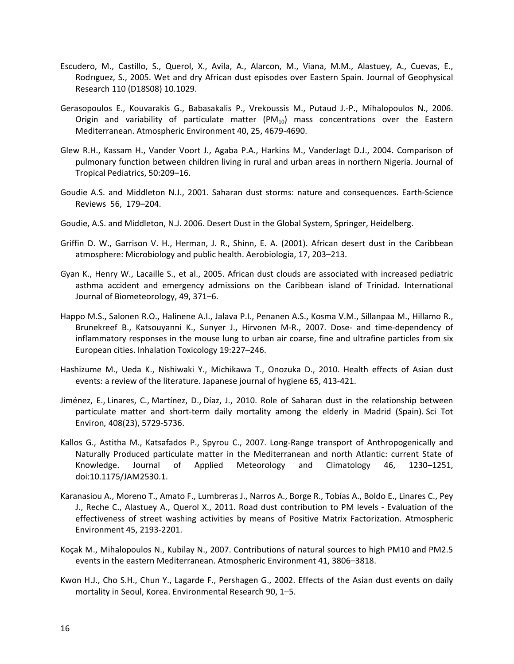- Escudero, M., Castillo, S., Querol, X., Avila, A., Alarcon, M., Viana, M.M., Alastuey, A., Cuevas, E., Rodrıguez, S., 2005. Wet and dry African dust episodes over Eastern Spain. Journal of Geophysical Research 110 (D18S08) 10.1029.
- Gerasopoulos E., Kouvarakis G., Babasakalis P., Vrekoussis M., Putaud J.‐P., Mihalopoulos N., 2006. Origin and variability of particulate matter  $(PM_{10})$  mass concentrations over the Eastern Mediterranean. Atmospheric Environment 40, 25, 4679‐4690.
- Glew R.H., Kassam H., Vander Voort J., Agaba P.A., Harkins M., VanderJagt D.J., 2004. Comparison of pulmonary function between children living in rural and urban areas in northern Nigeria. Journal of Tropical Pediatrics, 50:209–16.
- Goudie A.S. and Middleton N.J., 2001. Saharan dust storms: nature and consequences. Earth‐Science Reviews 56, 179–204.
- Goudie, A.S. and Middleton, N.J. 2006. Desert Dust in the Global System, Springer, Heidelberg.
- Griffin D. W., Garrison V. H., Herman, J. R., Shinn, E. A. (2001). African desert dust in the Caribbean atmosphere: Microbiology and public health. Aerobiologia, 17, 203–213.
- Gyan K., Henry W., Lacaille S., et al., 2005. African dust clouds are associated with increased pediatric asthma accident and emergency admissions on the Caribbean island of Trinidad. International Journal of Biometeorology, 49, 371–6.
- Happo M.S., Salonen R.O., Halinene A.I., Jalava P.I., Penanen A.S., Kosma V.M., Sillanpaa M., Hillamo R., Brunekreef B., Katsouyanni K., Sunyer J., Hirvonen M-R., 2007. Dose- and time-dependency of inflammatory responses in the mouse lung to urban air coarse, fine and ultrafine particles from six European cities. Inhalation Toxicology 19:227–246.
- Hashizume M., Ueda K., Nishiwaki Y., Michikawa T., Onozuka D., 2010. Health effects of Asian dust events: a review of the literature. Japanese journal of hygiene 65, 413‐421.
- Jiménez, E., Linares, C., Martínez, D., Díaz, J., 2010. Role of Saharan dust in the relationship between particulate matter and short-term daily mortality among the elderly in Madrid (Spain). Sci Tot Environ*,* 408(23), 5729‐5736.
- Kallos G., Astitha M., Katsafados P., Spyrou C., 2007. Long-Range transport of Anthropogenically and Naturally Produced particulate matter in the Mediterranean and north Atlantic: current State of Knowledge. Journal of Applied Meteorology and Climatology 46, 1230–1251, doi:10.1175/JAM2530.1.
- Karanasiou A., Moreno T., Amato F., Lumbreras J., Narros A., Borge R., Tobías A., Boldo E., Linares C., Pey J., Reche C., Alastuey A., Querol X., 2011. Road dust contribution to PM levels ‐ Evaluation of the effectiveness of street washing activities by means of Positive Matrix Factorization. Atmospheric Environment 45, 2193‐2201.
- Koçak M., Mihalopoulos N., Kubilay N., 2007. Contributions of natural sources to high PM10 and PM2.5 events in the eastern Mediterranean. Atmospheric Environment 41, 3806–3818.
- Kwon H.J., Cho S.H., Chun Y., Lagarde F., Pershagen G., 2002. Effects of the Asian dust events on daily mortality in Seoul, Korea. Environmental Research 90, 1–5.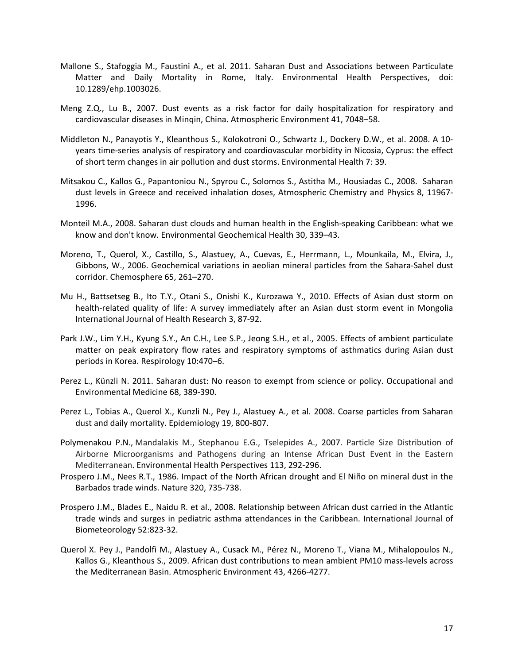- Mallone S., Stafoggia M., Faustini A., et al. 2011. Saharan Dust and Associations between Particulate Matter and Daily Mortality in Rome, Italy. Environmental Health Perspectives, doi: 10.1289/ehp.1003026.
- Meng Z.Q., Lu B., 2007. Dust events as a risk factor for daily hospitalization for respiratory and cardiovascular diseases in Minqin, China. Atmospheric Environment 41, 7048–58.
- Middleton N., Panayotis Y., Kleanthous S., Kolokotroni O., Schwartz J., Dockery D.W., et al. 2008. A 10‐ years time‐series analysis of respiratory and coardiovascular morbidity in Nicosia, Cyprus: the effect of short term changes in air pollution and dust storms. Environmental Health 7: 39.
- Mitsakou C., Kallos G., Papantoniou N., Spyrou C., Solomos S., Astitha M., Housiadas C., 2008. Saharan dust levels in Greece and received inhalation doses, Atmospheric Chemistry and Physics 8, 11967‐ 1996.
- Monteil M.A., 2008. Saharan dust clouds and human health in the English‐speaking Caribbean: what we know and don't know. Environmental Geochemical Health 30, 339–43.
- Moreno, T., Querol, X., Castillo, S., Alastuey, A., Cuevas, E., Herrmann, L., Mounkaila, M., Elvira, J., Gibbons, W., 2006. Geochemical variations in aeolian mineral particles from the Sahara‐Sahel dust corridor. Chemosphere 65, 261–270.
- Mu H., Battsetseg B., Ito T.Y., Otani S., Onishi K., Kurozawa Y., 2010. Effects of Asian dust storm on health-related quality of life: A survey immediately after an Asian dust storm event in Mongolia International Journal of Health Research 3, 87‐92.
- Park J.W., Lim Y.H., Kyung S.Y., An C.H., Lee S.P., Jeong S.H., et al., 2005. Effects of ambient particulate matter on peak expiratory flow rates and respiratory symptoms of asthmatics during Asian dust periods in Korea. Respirology 10:470–6.
- Perez L., Künzli N. 2011. Saharan dust: No reason to exempt from science or policy. Occupational and Environmental Medicine 68, 389‐390.
- Perez L., Tobias A., Querol X., Kunzli N., Pey J., Alastuey A., et al. 2008. Coarse particles from Saharan dust and daily mortality. Epidemiology 19, 800‐807.
- Polymenakou P.N., Mandalakis M., Stephanou E.G., Tselepides A., 2007. Particle Size Distribution of Airborne Microorganisms and Pathogens during an Intense African Dust Event in the Eastern Mediterranean. Environmental Health Perspectives 113, 292‐296.
- Prospero J.M., Nees R.T., 1986. Impact of the North African drought and El Niño on mineral dust in the Barbados trade winds. Nature 320, 735‐738.
- Prospero J.M., Blades E., Naidu R. et al., 2008. Relationship between African dust carried in the Atlantic trade winds and surges in pediatric asthma attendances in the Caribbean. International Journal of Biometeorology 52:823‐32.
- Querol X. Pey J., Pandolfi M., Alastuey A., Cusack M., Pérez N., Moreno T., Viana M., Mihalopoulos N., Kallos G., Kleanthous S., 2009. African dust contributions to mean ambient PM10 mass‐levels across the Mediterranean Basin. Atmospheric Environment 43, 4266‐4277.